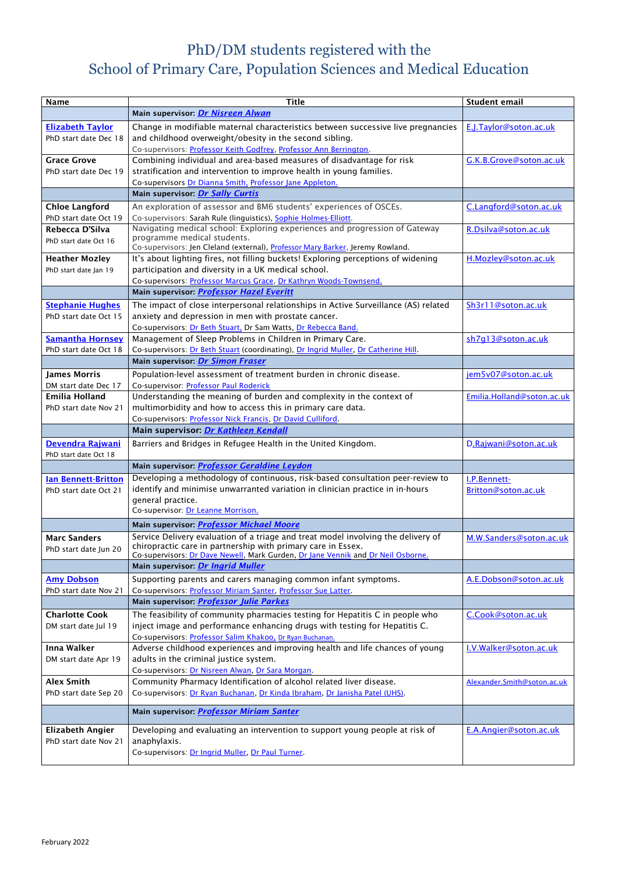## PhD/DM students registered with the School of Primary Care, Population Sciences and Medical Education

| <b>Name</b>                | <b>Title</b>                                                                        | <b>Student email</b>        |
|----------------------------|-------------------------------------------------------------------------------------|-----------------------------|
|                            | Main supervisor: Dr Nisreen Alwan                                                   |                             |
| <b>Elizabeth Taylor</b>    | Change in modifiable maternal characteristics between successive live pregnancies   | E.J.Taylor@soton.ac.uk      |
| PhD start date Dec 18      | and childhood overweight/obesity in the second sibling.                             |                             |
|                            |                                                                                     |                             |
|                            | Co-supervisors: Professor Keith Godfrey, Professor Ann Berrington.                  |                             |
| <b>Grace Grove</b>         | Combining individual and area-based measures of disadvantage for risk               | G.K.B.Grove@soton.ac.uk     |
| PhD start date Dec 19      | stratification and intervention to improve health in young families.                |                             |
|                            | Co-supervisors Dr Dianna Smith, Professor Jane Appleton.                            |                             |
|                            | Main supervisor: Dr Sally Curtis                                                    |                             |
| <b>Chloe Langford</b>      | An exploration of assessor and BM6 students' experiences of OSCEs.                  | C.Langford@soton.ac.uk      |
| PhD start date Oct 19      | Co-supervisors: Sarah Rule (linguistics), Sophie Holmes-Elliott.                    |                             |
| Rebecca D'Silva            | Navigating medical school: Exploring experiences and progression of Gateway         | R.Dsilva@soton.ac.uk        |
| PhD start date Oct 16      | programme medical students.                                                         |                             |
|                            | Co-supervisors: Jen Cleland (external), Professor Mary Barker, Jeremy Rowland.      |                             |
| <b>Heather Mozley</b>      | It's about lighting fires, not filling buckets! Exploring perceptions of widening   | H.Mozley@soton.ac.uk        |
| PhD start date Jan 19      | participation and diversity in a UK medical school.                                 |                             |
|                            | Co-supervisors: Professor Marcus Grace, Dr Kathryn Woods-Townsend.                  |                             |
|                            | Main supervisor: <i>Professor Hazel Everitt</i>                                     |                             |
| <b>Stephanie Hughes</b>    | The impact of close interpersonal relationships in Active Surveillance (AS) related | Sh3r11@soton.ac.uk          |
| PhD start date Oct 15      | anxiety and depression in men with prostate cancer.                                 |                             |
|                            | Co-supervisors: Dr Beth Stuart, Dr Sam Watts, Dr Rebecca Band.                      |                             |
| <b>Samantha Hornsey</b>    | Management of Sleep Problems in Children in Primary Care.                           | sh7q13@soton.ac.uk          |
| PhD start date Oct 18      | Co-supervisors: Dr Beth Stuart (coordinating), Dr Ingrid Muller, Dr Catherine Hill. |                             |
|                            | Main supervisor: Dr Simon Fraser                                                    |                             |
| <b>James Morris</b>        | Population-level assessment of treatment burden in chronic disease.                 | jem5v07@soton.ac.uk         |
| DM start date Dec 17       | Co-supervisor: Professor Paul Roderick                                              |                             |
| <b>Emilia Holland</b>      |                                                                                     |                             |
|                            | Understanding the meaning of burden and complexity in the context of                | Emilia.Holland@soton.ac.uk  |
| PhD start date Nov 21      | multimorbidity and how to access this in primary care data.                         |                             |
|                            | Co-supervisors: Professor Nick Francis, Dr David Culliford.                         |                             |
|                            | Main supervisor: Dr Kathleen Kendall                                                |                             |
| Devendra Rajwani           | Barriers and Bridges in Refugee Health in the United Kingdom.                       | D.Rajwani@soton.ac.uk       |
| PhD start date Oct 18      |                                                                                     |                             |
|                            | Main supervisor: <i>Professor Geraldine Leydon</i>                                  |                             |
| <b>Ian Bennett-Britton</b> | Developing a methodology of continuous, risk-based consultation peer-review to      | I.P.Bennett-                |
| PhD start date Oct 21      | identify and minimise unwarranted variation in clinician practice in in-hours       | Britton@soton.ac.uk         |
|                            | general practice.                                                                   |                             |
|                            | Co-supervisor: Dr Leanne Morrison.                                                  |                             |
|                            | Main supervisor: <b>Professor Michael Moore</b>                                     |                             |
| <b>Marc Sanders</b>        | Service Delivery evaluation of a triage and treat model involving the delivery of   | M.W.Sanders@soton.ac.uk     |
| PhD start date Jun 20      | chiropractic care in partnership with primary care in Essex.                        |                             |
|                            | Co-supervisors: Dr Dave Newell, Mark Gurden, Dr Jane Vennik and Dr Neil Osborne.    |                             |
|                            | Main supervisor: Dr Ingrid Muller                                                   |                             |
| <b>Amy Dobson</b>          | Supporting parents and carers managing common infant symptoms.                      | A.E.Dobson@soton.ac.uk      |
| PhD start date Nov 21      | Co-supervisors: Professor Miriam Santer, Professor Sue Latter.                      |                             |
|                            | Main supervisor: <i>Professor Julie Parkes</i>                                      |                             |
|                            |                                                                                     |                             |
| <b>Charlotte Cook</b>      | The feasibility of community pharmacies testing for Hepatitis C in people who       | C.Cook@soton.ac.uk          |
| DM start date Jul 19       | inject image and performance enhancing drugs with testing for Hepatitis C.          |                             |
|                            | Co-supervisors: Professor Salim Khakoo, Dr Ryan Buchanan.                           |                             |
| <b>Inna Walker</b>         | Adverse childhood experiences and improving health and life chances of young        | I.V.Walker@soton.ac.uk      |
| DM start date Apr 19       | adults in the criminal justice system.                                              |                             |
|                            | Co-supervisors: Dr Nisreen Alwan, Dr Sara Morgan.                                   |                             |
| <b>Alex Smith</b>          | Community Pharmacy Identification of alcohol related liver disease.                 | Alexander.Smith@soton.ac.uk |
| PhD start date Sep 20      | Co-supervisors: Dr Ryan Buchanan, Dr Kinda Ibraham, Dr Janisha Patel (UHS).         |                             |
|                            |                                                                                     |                             |
|                            | Main supervisor: <i>Professor Miriam Santer</i>                                     |                             |
| <b>Elizabeth Angier</b>    | Developing and evaluating an intervention to support young people at risk of        | E.A.Angier@soton.ac.uk      |
| PhD start date Nov 21      | anaphylaxis.                                                                        |                             |
|                            | Co-supervisors: Dr Ingrid Muller, Dr Paul Turner.                                   |                             |
|                            |                                                                                     |                             |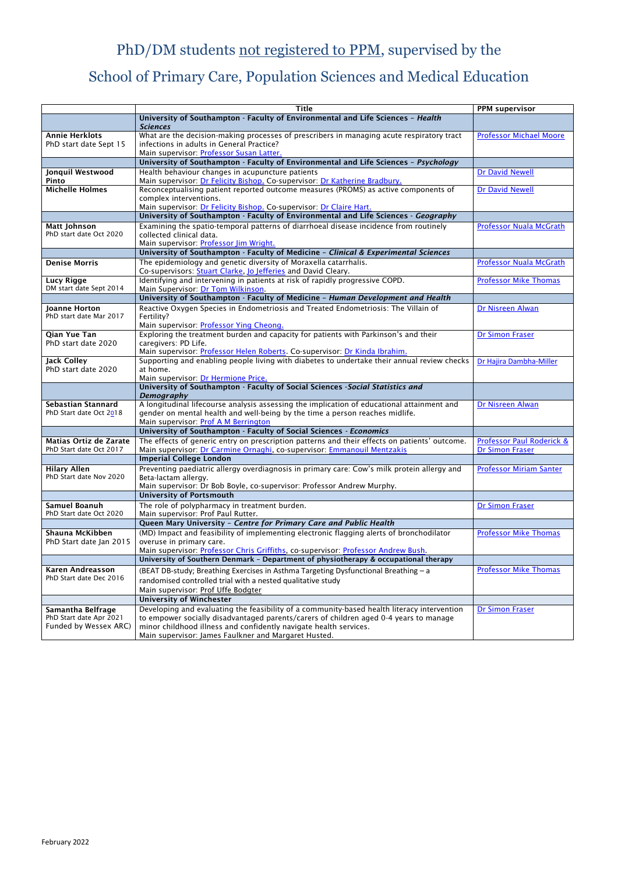February 2022

## PhD/DM students not registered to PPM, supervised by the

## School of Primary Care, Population Sciences and Medical Education

|                                                          | <b>Title</b>                                                                                                                    | <b>PPM supervisor</b>          |
|----------------------------------------------------------|---------------------------------------------------------------------------------------------------------------------------------|--------------------------------|
|                                                          | University of Southampton - Faculty of Environmental and Life Sciences - Health                                                 |                                |
|                                                          | <b>Sciences</b>                                                                                                                 |                                |
| <b>Annie Herklots</b>                                    | What are the decision-making processes of prescribers in managing acute respiratory tract                                       | <b>Professor Michael Moore</b> |
| PhD start date Sept 15                                   | infections in adults in General Practice?                                                                                       |                                |
|                                                          | Main supervisor: Professor Susan Latter.<br>University of Southampton - Faculty of Environmental and Life Sciences - Psychology |                                |
| Jonquil Westwood                                         | Health behaviour changes in acupuncture patients                                                                                | <b>Dr David Newell</b>         |
| Pinto                                                    | Main supervisor: Dr Felicity Bishop. Co-supervisor: Dr Katherine Bradbury.                                                      |                                |
| <b>Michelle Holmes</b>                                   | Reconceptualising patient reported outcome measures (PROMS) as active components of                                             | <b>Dr David Newell</b>         |
|                                                          | complex interventions.                                                                                                          |                                |
|                                                          | Main supervisor: Dr Felicity Bishop. Co-supervisor: Dr Claire Hart.                                                             |                                |
|                                                          | University of Southampton - Faculty of Environmental and Life Sciences - Geography                                              |                                |
| <b>Matt Johnson</b><br>PhD start date Oct 2020           | Examining the spatio-temporal patterns of diarrhoeal disease incidence from routinely<br>collected clinical data.               | <b>Professor Nuala McGrath</b> |
|                                                          | Main supervisor: Professor Jim Wright.                                                                                          |                                |
|                                                          | University of Southampton - Faculty of Medicine - Clinical & Experimental Sciences                                              |                                |
| <b>Denise Morris</b>                                     | The epidemiology and genetic diversity of Moraxella catarrhalis.                                                                | <b>Professor Nuala McGrath</b> |
|                                                          | Co-supervisors: Stuart Clarke, Jo Jefferies and David Cleary.                                                                   |                                |
| <b>Lucy Rigge</b>                                        | Identifying and intervening in patients at risk of rapidly progressive COPD.                                                    | <b>Professor Mike Thomas</b>   |
| DM start date Sept 2014                                  | Main Supervisor: Dr Tom Wilkinson.                                                                                              |                                |
|                                                          | University of Southampton - Faculty of Medicine - Human Development and Health                                                  |                                |
| <b>Joanne Horton</b>                                     | Reactive Oxygen Species in Endometriosis and Treated Endometriosis: The Villain of                                              | Dr Nisreen Alwan               |
| PhD start date Mar 2017                                  | Fertility?<br>Main supervisor: Professor Ying Cheong.                                                                           |                                |
| Qian Yue Tan                                             | Exploring the treatment burden and capacity for patients with Parkinson's and their                                             | <b>Dr Simon Fraser</b>         |
| PhD start date 2020                                      | caregivers: PD Life.                                                                                                            |                                |
|                                                          | Main supervisor: Professor Helen Roberts. Co-supervisor: Dr Kinda Ibrahim.                                                      |                                |
| <b>Jack Colley</b>                                       | Supporting and enabling people living with diabetes to undertake their annual review checks                                     | Dr Hajira Dambha-Miller        |
| PhD start date 2020                                      | at home.                                                                                                                        |                                |
|                                                          | Main supervisor: Dr Hermione Price.<br>University of Southampton - Faculty of Social Sciences - Social Statistics and           |                                |
|                                                          | Demography                                                                                                                      |                                |
| <b>Sebastian Stannard</b>                                | A longitudinal lifecourse analysis assessing the implication of educational attainment and                                      | Dr Nisreen Alwan               |
| PhD Start date Oct 2018                                  | gender on mental health and well-being by the time a person reaches midlife.                                                    |                                |
|                                                          | Main supervisor: Prof A M Berrington                                                                                            |                                |
|                                                          | University of Southampton - Faculty of Social Sciences - Economics                                                              |                                |
| <b>Matias Ortiz de Zarate</b><br>PhD Start date Oct 2017 | The effects of generic entry on prescription patterns and their effects on patients' outcome.                                   | Professor Paul Roderick &      |
|                                                          | Main supervisor: Dr Carmine Ornaghi, co-supervisor: Emmanouil Mentzakis<br><b>Imperial College London</b>                       | <b>Dr Simon Fraser</b>         |
| <b>Hilary Allen</b>                                      | Preventing paediatric allergy overdiagnosis in primary care: Cow's milk protein allergy and                                     | <b>Professor Miriam Santer</b> |
| PhD Start date Nov 2020                                  | Beta-lactam allergy.                                                                                                            |                                |
|                                                          | Main supervisor: Dr Bob Boyle, co-supervisor: Professor Andrew Murphy.                                                          |                                |
|                                                          | <b>University of Portsmouth</b>                                                                                                 |                                |
| <b>Samuel Boanuh</b>                                     | The role of polypharmacy in treatment burden.                                                                                   | <b>Dr Simon Fraser</b>         |
| PhD Start date Oct 2020                                  | Main supervisor: Prof Paul Rutter.                                                                                              |                                |
|                                                          | Queen Mary University - Centre for Primary Care and Public Health                                                               |                                |
| Shauna McKibben                                          | (MD) Impact and feasibility of implementing electronic flagging alerts of bronchodilator                                        | <b>Professor Mike Thomas</b>   |
| PhD Start date Jan 2015                                  | overuse in primary care.<br>Main supervisor: Professor Chris Griffiths, co-supervisor: Professor Andrew Bush.                   |                                |
|                                                          | University of Southern Denmark - Department of physiotherapy & occupational therapy                                             |                                |
| <b>Karen Andreasson</b>                                  | (BEAT DB-study; Breathing Exercises in Asthma Targeting Dysfunctional Breathing - a                                             | <b>Professor Mike Thomas</b>   |
| PhD Start date Dec 2016                                  | randomised controlled trial with a nested qualitative study                                                                     |                                |
|                                                          | Main supervisor: Prof Uffe Bodgter                                                                                              |                                |
|                                                          | <b>University of Winchester</b>                                                                                                 |                                |
| Samantha Belfrage                                        | Developing and evaluating the feasibility of a community-based health literacy intervention                                     | <b>Dr Simon Fraser</b>         |
| PhD Start date Apr 2021                                  | to empower socially disadvantaged parents/carers of children aged 0-4 years to manage                                           |                                |
| Funded by Wessex ARC)                                    | minor childhood illness and confidently navigate health services.                                                               |                                |
|                                                          | Main supervisor: James Faulkner and Margaret Husted.                                                                            |                                |